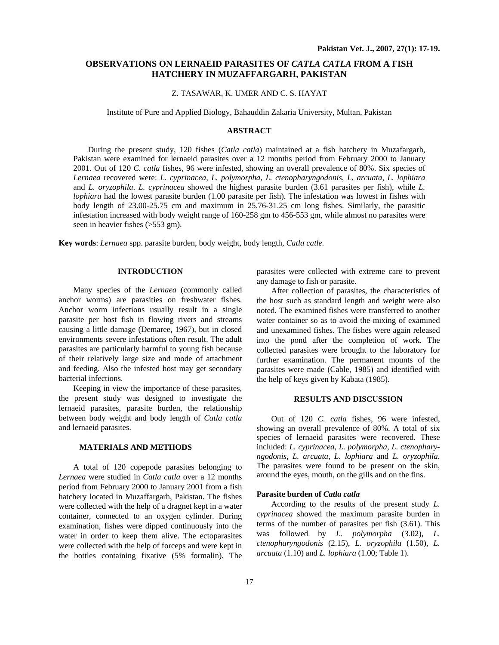# **OBSERVATIONS ON LERNAEID PARASITES OF** *CATLA CATLA* **FROM A FISH HATCHERY IN MUZAFFARGARH, PAKISTAN**

## Z. TASAWAR, K. UMER AND C. S. HAYAT

Institute of Pure and Applied Biology, Bahauddin Zakaria University, Multan, Pakistan

#### **ABSTRACT**

During the present study, 120 fishes (*Catla catla*) maintained at a fish hatchery in Muzafargarh, Pakistan were examined for lernaeid parasites over a 12 months period from February 2000 to January 2001. Out of 120 *C. catla* fishes, 96 were infested, showing an overall prevalence of 80%. Six species of *Lernaea* recovered were: *L. cyprinacea*, *L. polymorpha, L. ctenopharyngodonis*, *L. arcuata*, *L. lophiara* and *L. oryzophila*. *L. cyprinacea* showed the highest parasite burden (3.61 parasites per fish), while *L. lophiara* had the lowest parasite burden (1.00 parasite per fish). The infestation was lowest in fishes with body length of 23.00-25.75 cm and maximum in 25.76-31.25 cm long fishes. Similarly, the parasitic infestation increased with body weight range of 160-258 gm to 456-553 gm, while almost no parasites were seen in heavier fishes (>553 gm).

**Key words**: *Lernaea* spp. parasite burden, body weight, body length, *Catla catle.*

## **INTRODUCTION**

Many species of the *Lernaea* (commonly called anchor worms) are parasities on freshwater fishes. Anchor worm infections usually result in a single parasite per host fish in flowing rivers and streams causing a little damage (Demaree, 1967), but in closed environments severe infestations often result. The adult parasites are particularly harmful to young fish because of their relatively large size and mode of attachment and feeding. Also the infested host may get secondary bacterial infections.

Keeping in view the importance of these parasites, the present study was designed to investigate the lernaeid parasites, parasite burden, the relationship between body weight and body length of *Catla catla* and lernaeid parasites.

#### **MATERIALS AND METHODS**

A total of 120 copepode parasites belonging to *Lernaea* were studied in *Catla catla* over a 12 months period from February 2000 to January 2001 from a fish hatchery located in Muzaffargarh, Pakistan. The fishes were collected with the help of a dragnet kept in a water container, connected to an oxygen cylinder. During examination, fishes were dipped continuously into the water in order to keep them alive. The ectoparasites were collected with the help of forceps and were kept in the bottles containing fixative (5% formalin). The

parasites were collected with extreme care to prevent any damage to fish or parasite.

After collection of parasites, the characteristics of the host such as standard length and weight were also noted. The examined fishes were transferred to another water container so as to avoid the mixing of examined and unexamined fishes. The fishes were again released into the pond after the completion of work. The collected parasites were brought to the laboratory for further examination. The permanent mounts of the parasites were made (Cable, 1985) and identified with the help of keys given by Kabata (1985).

## **RESULTS AND DISCUSSION**

Out of 120 *C. catla* fishes, 96 were infested, showing an overall prevalence of 80%. A total of six species of lernaeid parasites were recovered. These included: *L. cyprinacea*, *L. polymorpha*, *L. ctenopharyngodonis*, *L. arcuata*, *L. lophiara* and *L. oryzophila*. The parasites were found to be present on the skin, around the eyes, mouth, on the gills and on the fins.

#### **Parasite burden of** *Catla catla*

According to the results of the present study *L. cyprinacea* showed the maximum parasite burden in terms of the number of parasites per fish (3.61). This was followed by *L. polymorpha* (3.02), *L. ctenopharyngodonis* (2.15), *L. oryzophila* (1.50), *L. arcuata* (1.10) and *L. lophiara* (1.00; Table 1).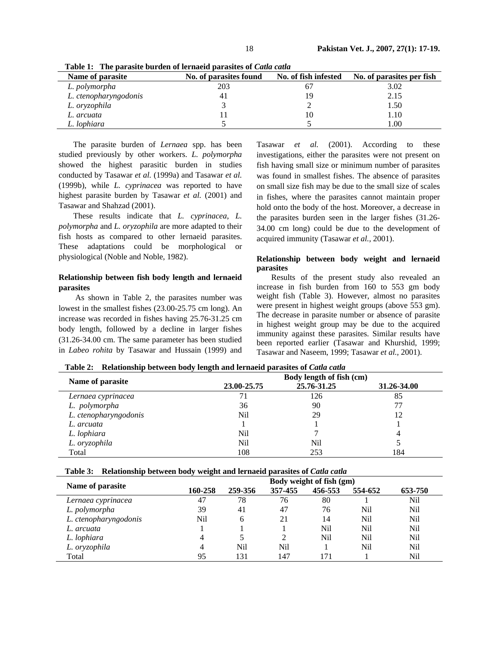| Name of parasite      | No. of parasites found | No. of fish infested | No. of parasites per fish |  |
|-----------------------|------------------------|----------------------|---------------------------|--|
| L. polymorpha         | 203                    |                      | 3.02                      |  |
| L. ctenopharyngodonis | 41                     |                      | 2.15                      |  |
| L. oryzophila         |                        |                      | 1.50                      |  |
| L. arcuata            |                        | 10                   | 1.10                      |  |
| L. lophiara           |                        |                      | 1.00                      |  |

**Table 1: The parasite burden of lernaeid parasites of** *Catla catla*

The parasite burden of *Lernaea* spp. has been studied previously by other workers. *L. polymorpha* showed the highest parasitic burden in studies conducted by Tasawar *et al.* (1999a) and Tasawar *et al.* (1999b), while *L. cyprinacea* was reported to have highest parasite burden by Tasawar *et al.* (2001) and Tasawar and Shahzad (2001).

These results indicate that *L. cyprinacea*, *L. polymorpha* and *L. oryzophila* are more adapted to their fish hosts as compared to other lernaeid parasites. These adaptations could be morphological or physiological (Noble and Noble, 1982).

# **Relationship between fish body length and lernaeid parasites**

 As shown in Table 2, the parasites number was lowest in the smallest fishes (23.00-25.75 cm long). An increase was recorded in fishes having 25.76-31.25 cm body length, followed by a decline in larger fishes (31.26-34.00 cm. The same parameter has been studied in *Labeo rohita* by Tasawar and Hussain (1999) and

Tasawar *et al.* (2001). According to these investigations, either the parasites were not present on fish having small size or minimum number of parasites was found in smallest fishes. The absence of parasites on small size fish may be due to the small size of scales in fishes, where the parasites cannot maintain proper hold onto the body of the host. Moreover, a decrease in the parasites burden seen in the larger fishes (31.26- 34.00 cm long) could be due to the development of acquired immunity (Tasawar *et al.,* 2001).

### **Relationship between body weight and lernaeid parasites**

Results of the present study also revealed an increase in fish burden from 160 to 553 gm body weight fish (Table 3). However, almost no parasites were present in highest weight groups (above 553 gm). The decrease in parasite number or absence of parasite in highest weight group may be due to the acquired immunity against these parasites. Similar results have been reported earlier (Tasawar and Khurshid, 1999; Tasawar and Naseem, 1999; Tasawar *et al.,* 2001).

|                       | Body length of fish (cm) |             |             |  |  |
|-----------------------|--------------------------|-------------|-------------|--|--|
| Name of parasite      | 23.00-25.75              | 25.76-31.25 | 31.26-34.00 |  |  |
| Lernaea cyprinacea    |                          | 126         | 85          |  |  |
| L. polymorpha         | 36                       | 90          | 77          |  |  |
| L. ctenopharyngodonis | Nil                      | 29          | 12          |  |  |
| L. arcuata            |                          |             |             |  |  |
| L. lophiara           | Nil                      |             | 4           |  |  |
| L. oryzophila         | Nil                      | Nil         |             |  |  |
| Total                 | 108                      | 253         | 184         |  |  |

**Table 2: Relationship between body length and lernaeid parasites of** *Catla catla*

| Table 3: Relationship between body weight and lernaeid parasites of <i>Catla catla</i> |  |  |  |
|----------------------------------------------------------------------------------------|--|--|--|
|                                                                                        |  |  |  |

|                       | Body weight of fish (gm) |         |         |         |         |         |
|-----------------------|--------------------------|---------|---------|---------|---------|---------|
| Name of parasite      | 160-258                  | 259-356 | 357-455 | 456-553 | 554-652 | 653-750 |
| Lernaea cyprinacea    | 47                       | 78      | 76      | 80      |         | Nil     |
| L. polymorpha         | 39                       | 41      | 47      | 76      | Nil     | Nil     |
| L. ctenopharyngodonis | Nil                      | 6       | 21      | 14      | Nil     | Nil     |
| L. arcuata            |                          |         |         | Nil     | Nil     | Nil     |
| L. lophiara           | 4                        |         | 2       | Nil     | Nil     | Nil     |
| L. oryzophila         | 4                        | Nil     | Nil     |         | Nil     | Nil     |
| Total                 | 95                       | 131     | 147     | 171     |         | Nil     |